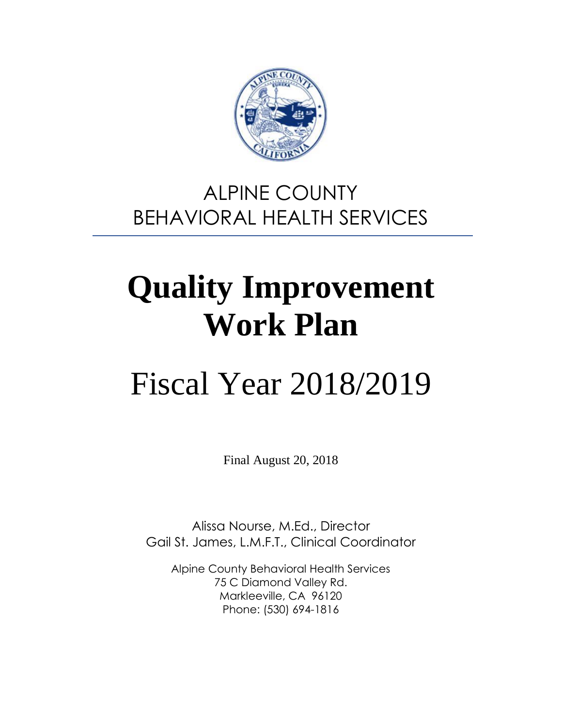

# ALPINE COUNTY BEHAVIORAL HEALTH SERVICES

# **Quality Improvement Work Plan**

# Fiscal Year 2018/2019

Final August 20, 2018

Alissa Nourse, M.Ed., Director Gail St. James, L.M.F.T., Clinical Coordinator

Alpine County Behavioral Health Services 75 C Diamond Valley Rd. Markleeville, CA 96120 Phone: (530) 694-1816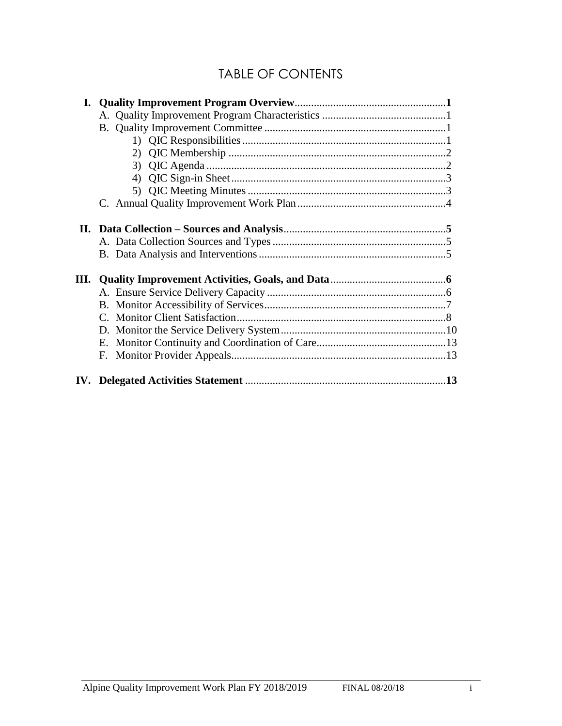| I. |    |  |
|----|----|--|
|    |    |  |
|    |    |  |
|    |    |  |
|    | 2) |  |
|    | 3) |  |
|    | 4) |  |
|    |    |  |
|    |    |  |
|    |    |  |
|    |    |  |
|    |    |  |
|    |    |  |
|    |    |  |
|    |    |  |
|    |    |  |
|    |    |  |
|    |    |  |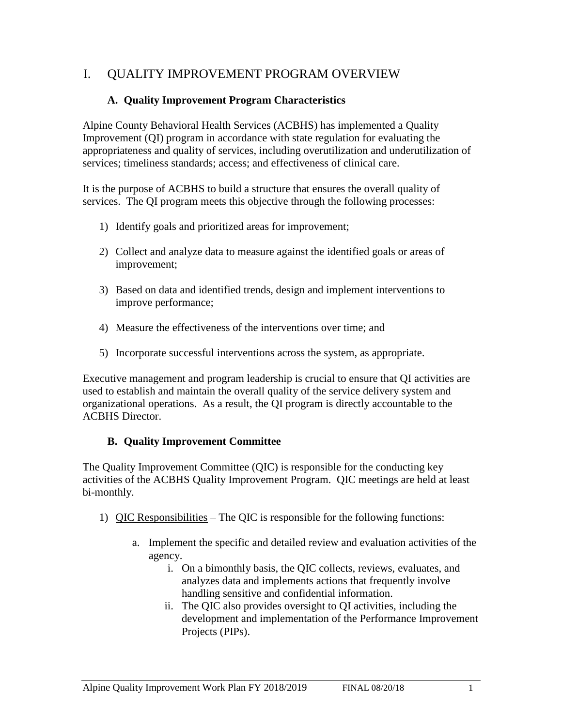# I. QUALITY IMPROVEMENT PROGRAM OVERVIEW

#### **A. Quality Improvement Program Characteristics**

Alpine County Behavioral Health Services (ACBHS) has implemented a Quality Improvement (QI) program in accordance with state regulation for evaluating the appropriateness and quality of services, including overutilization and underutilization of services; timeliness standards; access; and effectiveness of clinical care.

It is the purpose of ACBHS to build a structure that ensures the overall quality of services. The QI program meets this objective through the following processes:

- 1) Identify goals and prioritized areas for improvement;
- 2) Collect and analyze data to measure against the identified goals or areas of improvement;
- 3) Based on data and identified trends, design and implement interventions to improve performance;
- 4) Measure the effectiveness of the interventions over time; and
- 5) Incorporate successful interventions across the system, as appropriate.

Executive management and program leadership is crucial to ensure that QI activities are used to establish and maintain the overall quality of the service delivery system and organizational operations. As a result, the QI program is directly accountable to the ACBHS Director.

#### **B. Quality Improvement Committee**

The Quality Improvement Committee (QIC) is responsible for the conducting key activities of the ACBHS Quality Improvement Program. QIC meetings are held at least bi-monthly.

- 1) QIC Responsibilities The QIC is responsible for the following functions:
	- a. Implement the specific and detailed review and evaluation activities of the agency.
		- i. On a bimonthly basis, the QIC collects, reviews, evaluates, and analyzes data and implements actions that frequently involve handling sensitive and confidential information.
		- ii. The QIC also provides oversight to QI activities, including the development and implementation of the Performance Improvement Projects (PIPs).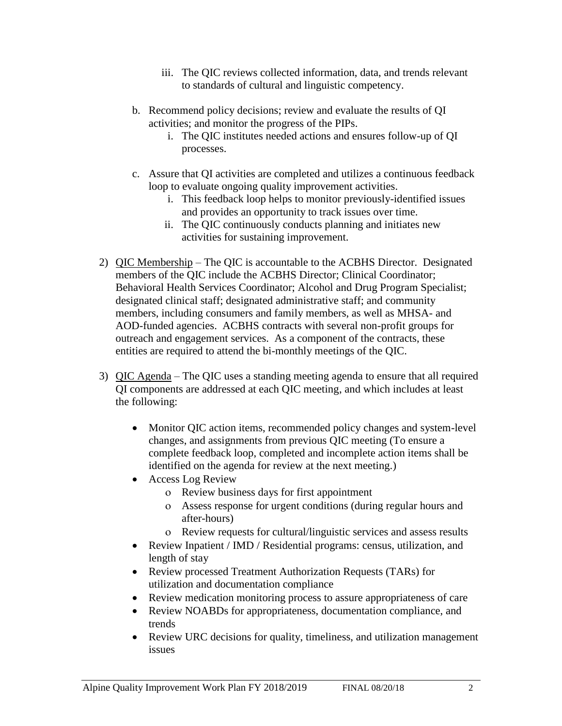- iii. The QIC reviews collected information, data, and trends relevant to standards of cultural and linguistic competency.
- b. Recommend policy decisions; review and evaluate the results of QI activities; and monitor the progress of the PIPs.
	- i. The QIC institutes needed actions and ensures follow-up of QI processes.
- c. Assure that QI activities are completed and utilizes a continuous feedback loop to evaluate ongoing quality improvement activities.
	- i. This feedback loop helps to monitor previously-identified issues and provides an opportunity to track issues over time.
	- ii. The QIC continuously conducts planning and initiates new activities for sustaining improvement.
- 2) QIC Membership The QIC is accountable to the ACBHS Director. Designated members of the QIC include the ACBHS Director; Clinical Coordinator; Behavioral Health Services Coordinator; Alcohol and Drug Program Specialist; designated clinical staff; designated administrative staff; and community members, including consumers and family members, as well as MHSA- and AOD-funded agencies. ACBHS contracts with several non-profit groups for outreach and engagement services. As a component of the contracts, these entities are required to attend the bi-monthly meetings of the QIC.
- 3) QIC Agenda The QIC uses a standing meeting agenda to ensure that all required QI components are addressed at each QIC meeting, and which includes at least the following:
	- Monitor QIC action items, recommended policy changes and system-level changes, and assignments from previous QIC meeting (To ensure a complete feedback loop, completed and incomplete action items shall be identified on the agenda for review at the next meeting.)
	- Access Log Review
		- Review business days for first appointment
		- Assess response for urgent conditions (during regular hours and after-hours)
		- Review requests for cultural/linguistic services and assess results
	- Review Inpatient / IMD / Residential programs: census, utilization, and length of stay
	- Review processed Treatment Authorization Requests (TARs) for utilization and documentation compliance
	- Review medication monitoring process to assure appropriateness of care
	- Review NOABDs for appropriateness, documentation compliance, and trends
	- Review URC decisions for quality, timeliness, and utilization management issues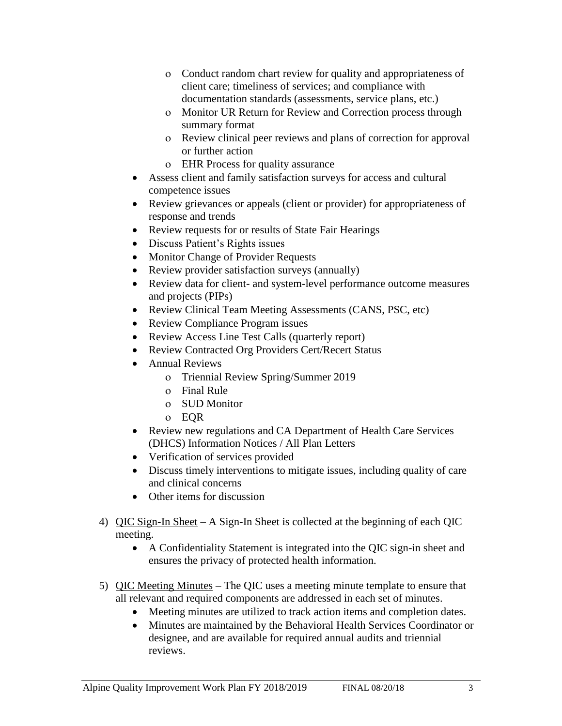- Conduct random chart review for quality and appropriateness of client care; timeliness of services; and compliance with documentation standards (assessments, service plans, etc.)
- Monitor UR Return for Review and Correction process through summary format
- Review clinical peer reviews and plans of correction for approval or further action
- EHR Process for quality assurance
- Assess client and family satisfaction surveys for access and cultural competence issues
- Review grievances or appeals (client or provider) for appropriateness of response and trends
- Review requests for or results of State Fair Hearings
- Discuss Patient's Rights issues
- Monitor Change of Provider Requests
- Review provider satisfaction surveys (annually)
- Review data for client- and system-level performance outcome measures and projects (PIPs)
- Review Clinical Team Meeting Assessments (CANS, PSC, etc)
- Review Compliance Program issues
- Review Access Line Test Calls (quarterly report)
- Review Contracted Org Providers Cert/Recert Status
- Annual Reviews
	- o Triennial Review Spring/Summer 2019
	- Final Rule
		- SUD Monitor
		- EQR
- Review new regulations and CA Department of Health Care Services (DHCS) Information Notices / All Plan Letters
- Verification of services provided
- Discuss timely interventions to mitigate issues, including quality of care and clinical concerns
- Other items for discussion
- 4) QIC Sign-In Sheet A Sign-In Sheet is collected at the beginning of each QIC meeting.
	- A Confidentiality Statement is integrated into the QIC sign-in sheet and ensures the privacy of protected health information.
- 5) QIC Meeting Minutes The QIC uses a meeting minute template to ensure that all relevant and required components are addressed in each set of minutes.
	- Meeting minutes are utilized to track action items and completion dates.
	- Minutes are maintained by the Behavioral Health Services Coordinator or designee, and are available for required annual audits and triennial reviews.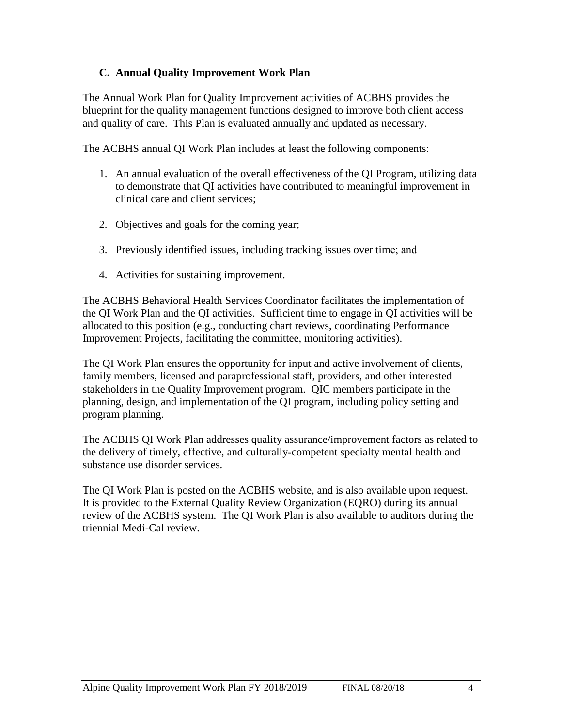#### **C. Annual Quality Improvement Work Plan**

The Annual Work Plan for Quality Improvement activities of ACBHS provides the blueprint for the quality management functions designed to improve both client access and quality of care. This Plan is evaluated annually and updated as necessary.

The ACBHS annual QI Work Plan includes at least the following components:

- 1. An annual evaluation of the overall effectiveness of the QI Program, utilizing data to demonstrate that QI activities have contributed to meaningful improvement in clinical care and client services;
- 2. Objectives and goals for the coming year;
- 3. Previously identified issues, including tracking issues over time; and
- 4. Activities for sustaining improvement.

The ACBHS Behavioral Health Services Coordinator facilitates the implementation of the QI Work Plan and the QI activities. Sufficient time to engage in QI activities will be allocated to this position (e.g., conducting chart reviews, coordinating Performance Improvement Projects, facilitating the committee, monitoring activities).

The QI Work Plan ensures the opportunity for input and active involvement of clients, family members, licensed and paraprofessional staff, providers, and other interested stakeholders in the Quality Improvement program. QIC members participate in the planning, design, and implementation of the QI program, including policy setting and program planning.

The ACBHS QI Work Plan addresses quality assurance/improvement factors as related to the delivery of timely, effective, and culturally-competent specialty mental health and substance use disorder services.

The QI Work Plan is posted on the ACBHS website, and is also available upon request. It is provided to the External Quality Review Organization (EQRO) during its annual review of the ACBHS system. The QI Work Plan is also available to auditors during the triennial Medi-Cal review.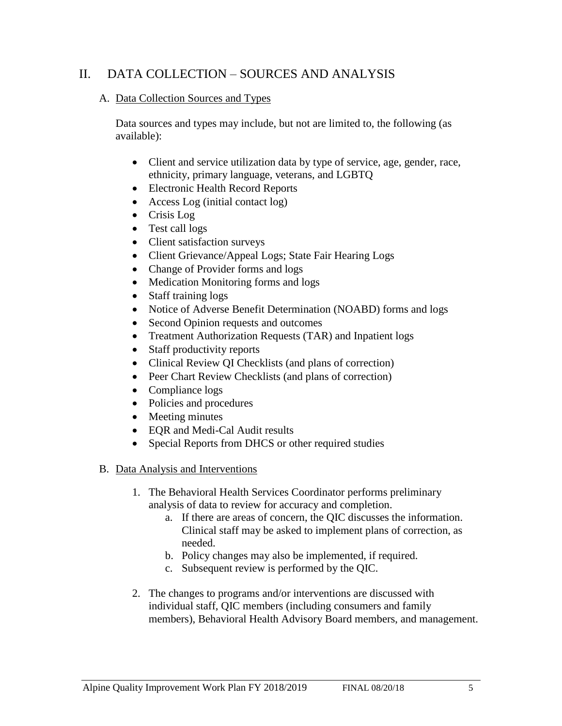# II. DATA COLLECTION – SOURCES AND ANALYSIS

#### A. Data Collection Sources and Types

Data sources and types may include, but not are limited to, the following (as available):

- Client and service utilization data by type of service, age, gender, race, ethnicity, primary language, veterans, and LGBTQ
- Electronic Health Record Reports
- Access Log (initial contact log)
- Crisis Log
- Test call logs
- Client satisfaction surveys
- Client Grievance/Appeal Logs; State Fair Hearing Logs
- Change of Provider forms and logs
- Medication Monitoring forms and logs
- Staff training logs
- Notice of Adverse Benefit Determination (NOABD) forms and logs
- Second Opinion requests and outcomes
- Treatment Authorization Requests (TAR) and Inpatient logs
- Staff productivity reports
- Clinical Review QI Checklists (and plans of correction)
- Peer Chart Review Checklists (and plans of correction)
- Compliance logs
- Policies and procedures
- Meeting minutes
- EOR and Medi-Cal Audit results
- Special Reports from DHCS or other required studies

#### B. Data Analysis and Interventions

- 1. The Behavioral Health Services Coordinator performs preliminary analysis of data to review for accuracy and completion.
	- a. If there are areas of concern, the QIC discusses the information. Clinical staff may be asked to implement plans of correction, as needed.
	- b. Policy changes may also be implemented, if required.
	- c. Subsequent review is performed by the QIC.
- 2. The changes to programs and/or interventions are discussed with individual staff, QIC members (including consumers and family members), Behavioral Health Advisory Board members, and management.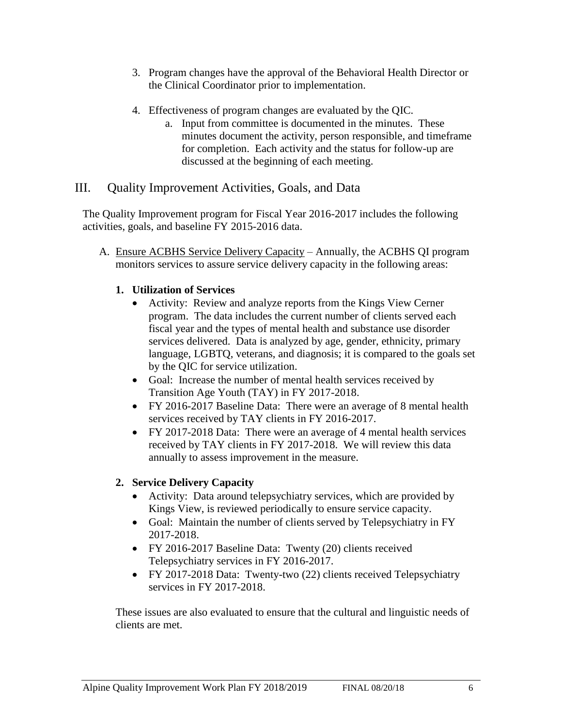- 3. Program changes have the approval of the Behavioral Health Director or the Clinical Coordinator prior to implementation.
- 4. Effectiveness of program changes are evaluated by the QIC.
	- a. Input from committee is documented in the minutes. These minutes document the activity, person responsible, and timeframe for completion. Each activity and the status for follow-up are discussed at the beginning of each meeting.

# III. Quality Improvement Activities, Goals, and Data

The Quality Improvement program for Fiscal Year 2016-2017 includes the following activities, goals, and baseline FY 2015-2016 data.

A. Ensure ACBHS Service Delivery Capacity – Annually, the ACBHS QI program monitors services to assure service delivery capacity in the following areas:

#### **1. Utilization of Services**

- Activity: Review and analyze reports from the Kings View Cerner program. The data includes the current number of clients served each fiscal year and the types of mental health and substance use disorder services delivered. Data is analyzed by age, gender, ethnicity, primary language, LGBTQ, veterans, and diagnosis; it is compared to the goals set by the QIC for service utilization.
- Goal: Increase the number of mental health services received by Transition Age Youth (TAY) in FY 2017-2018.
- FY 2016-2017 Baseline Data: There were an average of 8 mental health services received by TAY clients in FY 2016-2017.
- FY 2017-2018 Data: There were an average of 4 mental health services received by TAY clients in FY 2017-2018. We will review this data annually to assess improvement in the measure.

# **2. Service Delivery Capacity**

- Activity: Data around telepsychiatry services, which are provided by Kings View, is reviewed periodically to ensure service capacity.
- Goal: Maintain the number of clients served by Telepsychiatry in FY 2017-2018.
- FY 2016-2017 Baseline Data: Twenty (20) clients received Telepsychiatry services in FY 2016-2017.
- FY 2017-2018 Data: Twenty-two (22) clients received Telepsychiatry services in FY 2017-2018.

These issues are also evaluated to ensure that the cultural and linguistic needs of clients are met.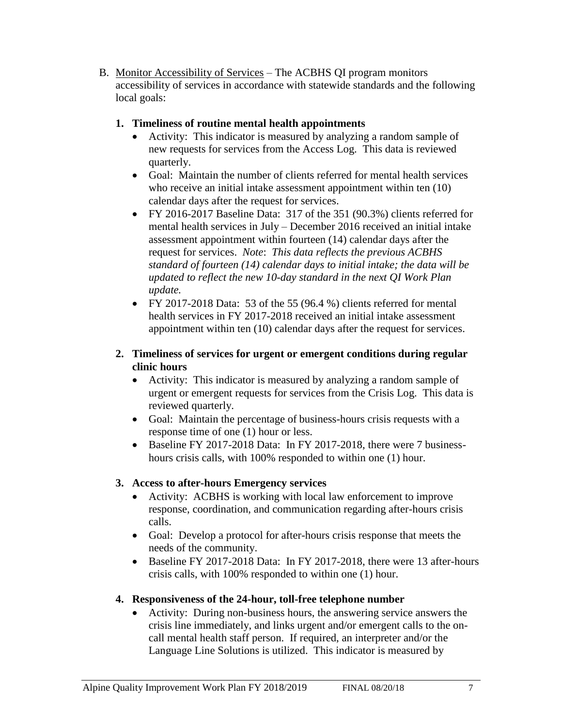B. Monitor Accessibility of Services – The ACBHS QI program monitors accessibility of services in accordance with statewide standards and the following local goals:

#### **1. Timeliness of routine mental health appointments**

- Activity: This indicator is measured by analyzing a random sample of new requests for services from the Access Log. This data is reviewed quarterly.
- Goal: Maintain the number of clients referred for mental health services who receive an initial intake assessment appointment within ten  $(10)$ calendar days after the request for services.
- FY 2016-2017 Baseline Data: 317 of the 351 (90.3%) clients referred for mental health services in July – December 2016 received an initial intake assessment appointment within fourteen (14) calendar days after the request for services. *Note*: *This data reflects the previous ACBHS standard of fourteen (14) calendar days to initial intake; the data will be updated to reflect the new 10-day standard in the next QI Work Plan update.*
- FY 2017-2018 Data: 53 of the 55  $(96.4 %)$  clients referred for mental health services in FY 2017-2018 received an initial intake assessment appointment within ten (10) calendar days after the request for services.

#### **2. Timeliness of services for urgent or emergent conditions during regular clinic hours**

- Activity: This indicator is measured by analyzing a random sample of urgent or emergent requests for services from the Crisis Log. This data is reviewed quarterly.
- Goal: Maintain the percentage of business-hours crisis requests with a response time of one (1) hour or less.
- Baseline FY 2017-2018 Data: In FY 2017-2018, there were 7 businesshours crisis calls, with 100% responded to within one (1) hour.

# **3. Access to after-hours Emergency services**

- Activity: ACBHS is working with local law enforcement to improve response, coordination, and communication regarding after-hours crisis calls.
- Goal: Develop a protocol for after-hours crisis response that meets the needs of the community.
- Baseline FY 2017-2018 Data: In FY 2017-2018, there were 13 after-hours crisis calls, with 100% responded to within one (1) hour.

# **4. Responsiveness of the 24-hour, toll-free telephone number**

• Activity: During non-business hours, the answering service answers the crisis line immediately, and links urgent and/or emergent calls to the oncall mental health staff person. If required, an interpreter and/or the Language Line Solutions is utilized. This indicator is measured by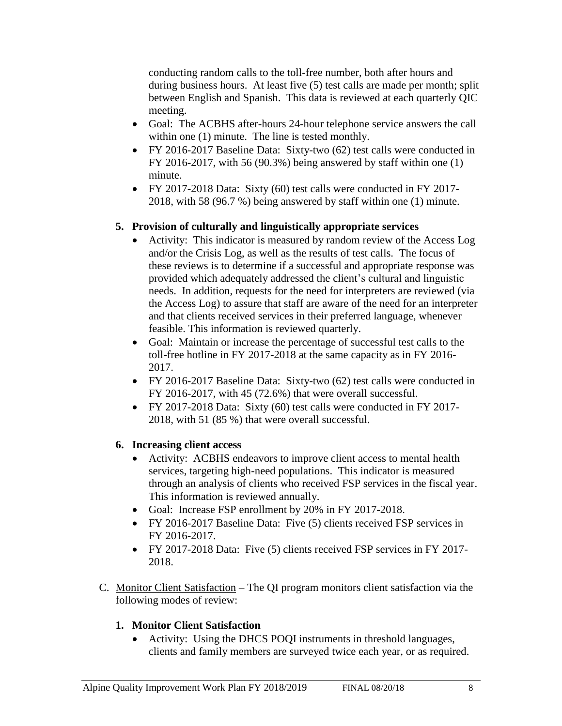conducting random calls to the toll-free number, both after hours and during business hours. At least five (5) test calls are made per month; split between English and Spanish. This data is reviewed at each quarterly QIC meeting.

- Goal: The ACBHS after-hours 24-hour telephone service answers the call within one  $(1)$  minute. The line is tested monthly.
- FY 2016-2017 Baseline Data: Sixty-two (62) test calls were conducted in FY 2016-2017, with 56 (90.3%) being answered by staff within one (1) minute.
- FY 2017-2018 Data: Sixty (60) test calls were conducted in FY 2017-2018, with 58 (96.7 %) being answered by staff within one (1) minute.

#### **5. Provision of culturally and linguistically appropriate services**

- Activity: This indicator is measured by random review of the Access Log and/or the Crisis Log, as well as the results of test calls. The focus of these reviews is to determine if a successful and appropriate response was provided which adequately addressed the client's cultural and linguistic needs. In addition, requests for the need for interpreters are reviewed (via the Access Log) to assure that staff are aware of the need for an interpreter and that clients received services in their preferred language, whenever feasible. This information is reviewed quarterly.
- Goal: Maintain or increase the percentage of successful test calls to the toll-free hotline in FY 2017-2018 at the same capacity as in FY 2016- 2017.
- FY 2016-2017 Baseline Data: Sixty-two (62) test calls were conducted in FY 2016-2017, with 45 (72.6%) that were overall successful.
- FY 2017-2018 Data: Sixty (60) test calls were conducted in FY 2017-2018, with 51 (85 %) that were overall successful.

#### **6. Increasing client access**

- Activity: ACBHS endeavors to improve client access to mental health services, targeting high-need populations. This indicator is measured through an analysis of clients who received FSP services in the fiscal year. This information is reviewed annually.
- Goal: Increase FSP enrollment by 20% in FY 2017-2018.
- FY 2016-2017 Baseline Data: Five (5) clients received FSP services in FY 2016-2017.
- FY 2017-2018 Data: Five (5) clients received FSP services in FY 2017- 2018.
- C. Monitor Client Satisfaction The QI program monitors client satisfaction via the following modes of review:

#### **1. Monitor Client Satisfaction**

• Activity: Using the DHCS POQI instruments in threshold languages, clients and family members are surveyed twice each year, or as required.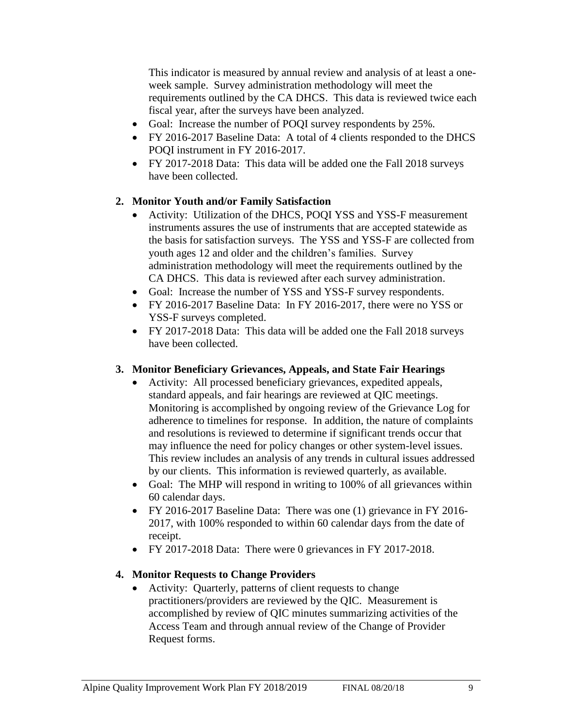This indicator is measured by annual review and analysis of at least a oneweek sample. Survey administration methodology will meet the requirements outlined by the CA DHCS. This data is reviewed twice each fiscal year, after the surveys have been analyzed.

- Goal: Increase the number of POQI survey respondents by 25%.
- FY 2016-2017 Baseline Data: A total of 4 clients responded to the DHCS POQI instrument in FY 2016-2017.
- FY 2017-2018 Data: This data will be added one the Fall 2018 surveys have been collected.

#### **2. Monitor Youth and/or Family Satisfaction**

- Activity: Utilization of the DHCS, POQI YSS and YSS-F measurement instruments assures the use of instruments that are accepted statewide as the basis for satisfaction surveys. The YSS and YSS-F are collected from youth ages 12 and older and the children's families. Survey administration methodology will meet the requirements outlined by the CA DHCS. This data is reviewed after each survey administration.
- Goal: Increase the number of YSS and YSS-F survey respondents.
- FY 2016-2017 Baseline Data: In FY 2016-2017, there were no YSS or YSS-F surveys completed.
- FY 2017-2018 Data: This data will be added one the Fall 2018 surveys have been collected.

#### **3. Monitor Beneficiary Grievances, Appeals, and State Fair Hearings**

- Activity: All processed beneficiary grievances, expedited appeals, standard appeals, and fair hearings are reviewed at QIC meetings. Monitoring is accomplished by ongoing review of the Grievance Log for adherence to timelines for response. In addition, the nature of complaints and resolutions is reviewed to determine if significant trends occur that may influence the need for policy changes or other system-level issues. This review includes an analysis of any trends in cultural issues addressed by our clients. This information is reviewed quarterly, as available.
- Goal: The MHP will respond in writing to 100% of all grievances within 60 calendar days.
- FY 2016-2017 Baseline Data: There was one (1) grievance in FY 2016-2017, with 100% responded to within 60 calendar days from the date of receipt.
- FY 2017-2018 Data: There were 0 grievances in FY 2017-2018.

#### **4. Monitor Requests to Change Providers**

• Activity: Quarterly, patterns of client requests to change practitioners/providers are reviewed by the QIC. Measurement is accomplished by review of QIC minutes summarizing activities of the Access Team and through annual review of the Change of Provider Request forms.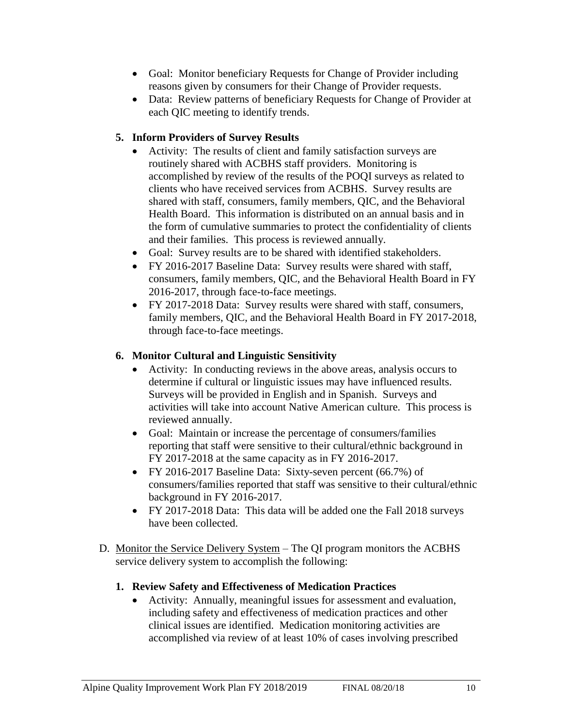- Goal: Monitor beneficiary Requests for Change of Provider including reasons given by consumers for their Change of Provider requests.
- Data: Review patterns of beneficiary Requests for Change of Provider at each QIC meeting to identify trends.

#### **5. Inform Providers of Survey Results**

- Activity: The results of client and family satisfaction surveys are routinely shared with ACBHS staff providers. Monitoring is accomplished by review of the results of the POQI surveys as related to clients who have received services from ACBHS. Survey results are shared with staff, consumers, family members, QIC, and the Behavioral Health Board. This information is distributed on an annual basis and in the form of cumulative summaries to protect the confidentiality of clients and their families. This process is reviewed annually.
- Goal: Survey results are to be shared with identified stakeholders.
- FY 2016-2017 Baseline Data: Survey results were shared with staff, consumers, family members, QIC, and the Behavioral Health Board in FY 2016-2017, through face-to-face meetings.
- FY 2017-2018 Data: Survey results were shared with staff, consumers, family members, QIC, and the Behavioral Health Board in FY 2017-2018, through face-to-face meetings.

# **6. Monitor Cultural and Linguistic Sensitivity**

- Activity: In conducting reviews in the above areas, analysis occurs to determine if cultural or linguistic issues may have influenced results. Surveys will be provided in English and in Spanish. Surveys and activities will take into account Native American culture. This process is reviewed annually.
- Goal: Maintain or increase the percentage of consumers/families reporting that staff were sensitive to their cultural/ethnic background in FY 2017-2018 at the same capacity as in FY 2016-2017.
- FY 2016-2017 Baseline Data: Sixty-seven percent (66.7%) of consumers/families reported that staff was sensitive to their cultural/ethnic background in FY 2016-2017.
- FY 2017-2018 Data: This data will be added one the Fall 2018 surveys have been collected.
- D. Monitor the Service Delivery System The QI program monitors the ACBHS service delivery system to accomplish the following:

# **1. Review Safety and Effectiveness of Medication Practices**

• Activity: Annually, meaningful issues for assessment and evaluation, including safety and effectiveness of medication practices and other clinical issues are identified. Medication monitoring activities are accomplished via review of at least 10% of cases involving prescribed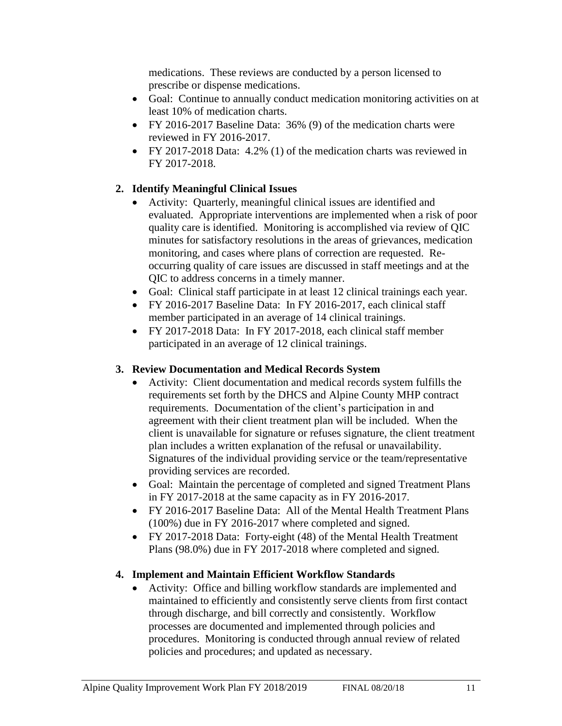medications. These reviews are conducted by a person licensed to prescribe or dispense medications.

- Goal: Continue to annually conduct medication monitoring activities on at least 10% of medication charts.
- FY 2016-2017 Baseline Data: 36% (9) of the medication charts were reviewed in FY 2016-2017.
- FY 2017-2018 Data: 4.2% (1) of the medication charts was reviewed in FY 2017-2018.

# **2. Identify Meaningful Clinical Issues**

- Activity: Quarterly, meaningful clinical issues are identified and evaluated. Appropriate interventions are implemented when a risk of poor quality care is identified. Monitoring is accomplished via review of QIC minutes for satisfactory resolutions in the areas of grievances, medication monitoring, and cases where plans of correction are requested. Reoccurring quality of care issues are discussed in staff meetings and at the QIC to address concerns in a timely manner.
- Goal: Clinical staff participate in at least 12 clinical trainings each year.
- FY 2016-2017 Baseline Data: In FY 2016-2017, each clinical staff member participated in an average of 14 clinical trainings.
- FY 2017-2018 Data: In FY 2017-2018, each clinical staff member participated in an average of 12 clinical trainings.

### **3. Review Documentation and Medical Records System**

- Activity: Client documentation and medical records system fulfills the requirements set forth by the DHCS and Alpine County MHP contract requirements. Documentation of the client's participation in and agreement with their client treatment plan will be included. When the client is unavailable for signature or refuses signature, the client treatment plan includes a written explanation of the refusal or unavailability. Signatures of the individual providing service or the team/representative providing services are recorded.
- Goal: Maintain the percentage of completed and signed Treatment Plans in FY 2017-2018 at the same capacity as in FY 2016-2017.
- FY 2016-2017 Baseline Data: All of the Mental Health Treatment Plans (100%) due in FY 2016-2017 where completed and signed.
- FY 2017-2018 Data: Forty-eight (48) of the Mental Health Treatment Plans (98.0%) due in FY 2017-2018 where completed and signed.

# **4. Implement and Maintain Efficient Workflow Standards**

• Activity: Office and billing workflow standards are implemented and maintained to efficiently and consistently serve clients from first contact through discharge, and bill correctly and consistently. Workflow processes are documented and implemented through policies and procedures. Monitoring is conducted through annual review of related policies and procedures; and updated as necessary.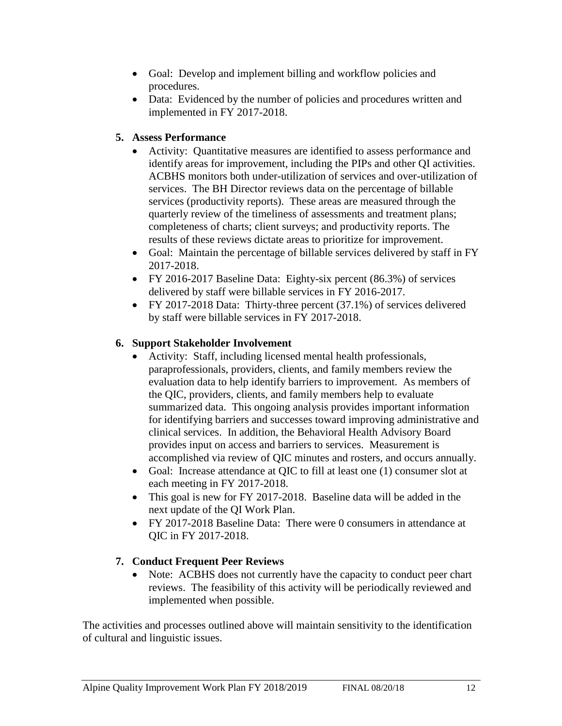- Goal: Develop and implement billing and workflow policies and procedures.
- Data: Evidenced by the number of policies and procedures written and implemented in FY 2017-2018.

#### **5. Assess Performance**

- Activity: Quantitative measures are identified to assess performance and identify areas for improvement, including the PIPs and other QI activities. ACBHS monitors both under-utilization of services and over-utilization of services. The BH Director reviews data on the percentage of billable services (productivity reports). These areas are measured through the quarterly review of the timeliness of assessments and treatment plans; completeness of charts; client surveys; and productivity reports. The results of these reviews dictate areas to prioritize for improvement.
- Goal: Maintain the percentage of billable services delivered by staff in FY 2017-2018.
- FY 2016-2017 Baseline Data: Eighty-six percent (86.3%) of services delivered by staff were billable services in FY 2016-2017.
- FY 2017-2018 Data: Thirty-three percent (37.1%) of services delivered by staff were billable services in FY 2017-2018.

#### **6. Support Stakeholder Involvement**

- Activity: Staff, including licensed mental health professionals, paraprofessionals, providers, clients, and family members review the evaluation data to help identify barriers to improvement. As members of the QIC, providers, clients, and family members help to evaluate summarized data. This ongoing analysis provides important information for identifying barriers and successes toward improving administrative and clinical services. In addition, the Behavioral Health Advisory Board provides input on access and barriers to services. Measurement is accomplished via review of QIC minutes and rosters, and occurs annually.
- Goal: Increase attendance at QIC to fill at least one (1) consumer slot at each meeting in FY 2017-2018.
- This goal is new for FY 2017-2018. Baseline data will be added in the next update of the QI Work Plan.
- FY 2017-2018 Baseline Data: There were 0 consumers in attendance at QIC in FY 2017-2018.

# **7. Conduct Frequent Peer Reviews**

• Note: ACBHS does not currently have the capacity to conduct peer chart reviews. The feasibility of this activity will be periodically reviewed and implemented when possible.

The activities and processes outlined above will maintain sensitivity to the identification of cultural and linguistic issues.